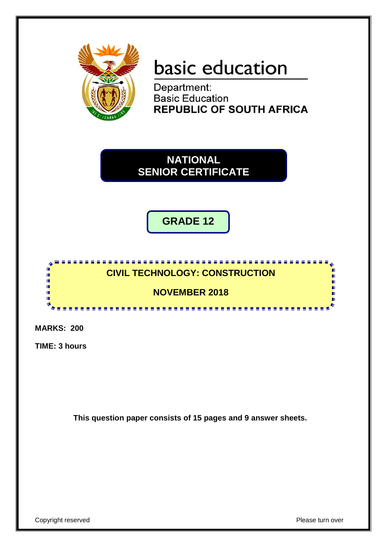

# basic education

Department: **Basic Education REPUBLIC OF SOUTH AFRICA** 

**NATIONAL SENIOR CERTIFICATE**

**GRADE 12**



**MARKS: 200**

**TIME: 3 hours**

**This question paper consists of 15 pages and 9 answer sheets.**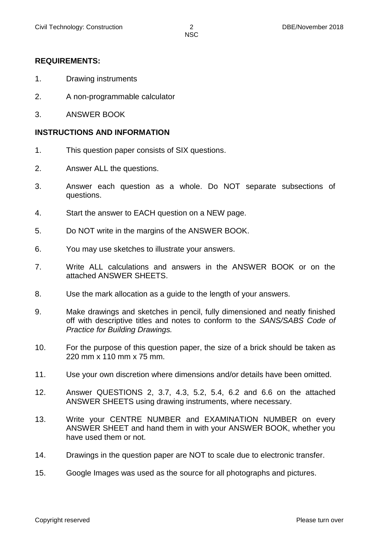#### **REQUIREMENTS:**

- 1. Drawing instruments
- 2. A non-programmable calculator
- 3. ANSWER BOOK

#### **INSTRUCTIONS AND INFORMATION**

- 1. This question paper consists of SIX questions.
- 2. Answer ALL the questions.
- 3. Answer each question as a whole. Do NOT separate subsections of questions.
- 4. Start the answer to EACH question on a NEW page.
- 5. Do NOT write in the margins of the ANSWER BOOK.
- 6. You may use sketches to illustrate your answers.
- 7. Write ALL calculations and answers in the ANSWER BOOK or on the attached ANSWER SHEETS.
- 8. Use the mark allocation as a guide to the length of your answers.
- 9. Make drawings and sketches in pencil, fully dimensioned and neatly finished off with descriptive titles and notes to conform to the *SANS/SABS Code of Practice for Building Drawings.*
- 10. For the purpose of this question paper, the size of a brick should be taken as 220 mm x 110 mm x 75 mm.
- 11. Use your own discretion where dimensions and/or details have been omitted.
- 12. Answer QUESTIONS 2, 3.7, 4.3, 5.2, 5.4, 6.2 and 6.6 on the attached ANSWER SHEETS using drawing instruments, where necessary.
- 13. Write your CENTRE NUMBER and EXAMINATION NUMBER on every ANSWER SHEET and hand them in with your ANSWER BOOK, whether you have used them or not.
- 14. Drawings in the question paper are NOT to scale due to electronic transfer.
- 15. Google Images was used as the source for all photographs and pictures.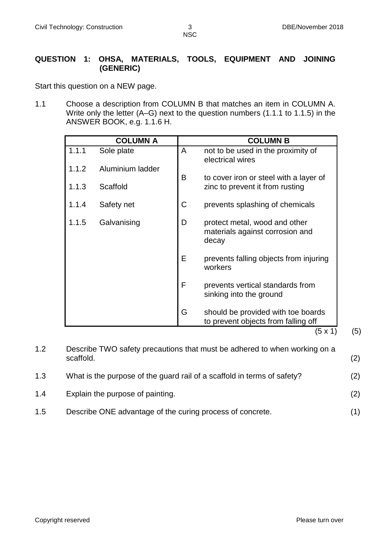# **QUESTION 1: OHSA, MATERIALS, TOOLS, EQUIPMENT AND JOINING (GENERIC)**

Start this question on a NEW page.

1.1 Choose a description from COLUMN B that matches an item in COLUMN A. Write only the letter (A–G) next to the question numbers (1.1.1 to 1.1.5) in the ANSWER BOOK, e.g. 1.1.6 H.

|       | <b>COLUMN A</b>  |             | <b>COLUMN B</b>                                                           |
|-------|------------------|-------------|---------------------------------------------------------------------------|
| 1.1.1 | Sole plate       | A           | not to be used in the proximity of<br>electrical wires                    |
| 1.1.2 | Aluminium ladder | B           | to cover iron or steel with a layer of                                    |
| 1.1.3 | Scaffold         |             | zinc to prevent it from rusting                                           |
| 1.1.4 | Safety net       | $\mathsf C$ | prevents splashing of chemicals                                           |
| 1.1.5 | Galvanising      | D           | protect metal, wood and other<br>materials against corrosion and<br>decay |
|       |                  | E           | prevents falling objects from injuring<br>workers                         |
|       |                  | F           | prevents vertical standards from<br>sinking into the ground               |
|       |                  | G           | should be provided with toe boards<br>to prevent objects from falling off |
|       |                  |             | (5 x 1)                                                                   |

| 1.2 | Describe TWO safety precautions that must be adhered to when working on a<br>scaffold. | (2) |
|-----|----------------------------------------------------------------------------------------|-----|
| 1.3 | What is the purpose of the guard rail of a scaffold in terms of safety?                | (2) |
| 1.4 | Explain the purpose of painting.                                                       | (2) |
| 1.5 | Describe ONE advantage of the curing process of concrete.                              | (1) |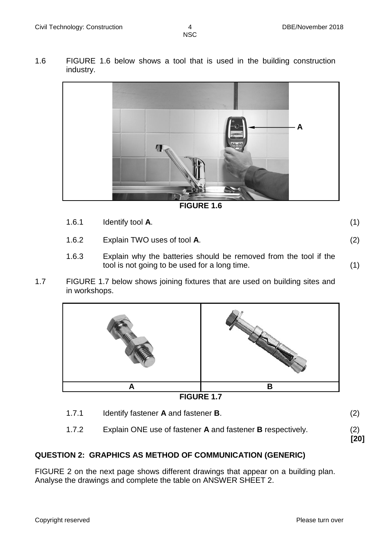1.6 FIGURE 1.6 below shows a tool that is used in the building construction industry.



**FIGURE 1.6**

- 1.6.1 Identify tool **A**. (1) 1.6.2 Explain TWO uses of tool **A**. (2)
- 1.6.3 Explain why the batteries should be removed from the tool if the tool is not going to be used for a long time. (1)
- 1.7 FIGURE 1.7 below shows joining fixtures that are used on building sites and in workshops.



1.7.1 Identify fastener **A** and fastener **B**. (2) 1.7.2 Explain ONE use of fastener **A** and fastener **B** respectively. (2) **[20]**

# **QUESTION 2: GRAPHICS AS METHOD OF COMMUNICATION (GENERIC)**

FIGURE 2 on the next page shows different drawings that appear on a building plan. Analyse the drawings and complete the table on ANSWER SHEET 2.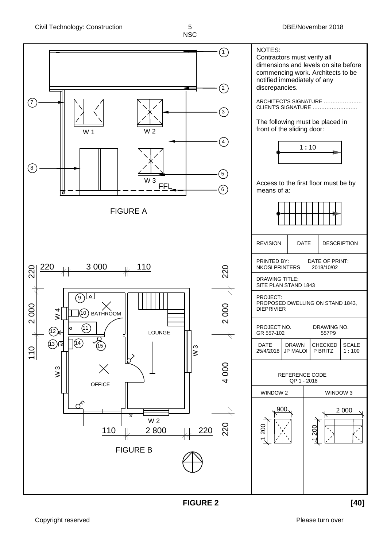

**FIGURE 2 [40]**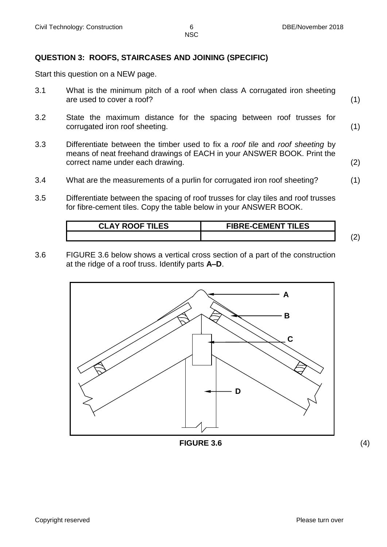# **QUESTION 3: ROOFS, STAIRCASES AND JOINING (SPECIFIC)**

Start this question on a NEW page.

- 3.1 What is the minimum pitch of a roof when class A corrugated iron sheeting are used to cover a roof? (1)
- 3.2 State the maximum distance for the spacing between roof trusses for corrugated iron roof sheeting. (1)
- 3.3 Differentiate between the timber used to fix a *roof tile* and *roof sheeting* by means of neat freehand drawings of EACH in your ANSWER BOOK. Print the correct name under each drawing. (2)
- 3.4 What are the measurements of a purlin for corrugated iron roof sheeting? (1)
- 3.5 Differentiate between the spacing of roof trusses for clay tiles and roof trusses for fibre-cement tiles. Copy the table below in your ANSWER BOOK.

| <b>CLAY ROOF TILES</b> | <b>FIBRE-CEMENT TILES</b> |  |
|------------------------|---------------------------|--|
|                        |                           |  |

3.6 FIGURE 3.6 below shows a vertical cross section of a part of the construction at the ridge of a roof truss. Identify parts **A–D**.



**FIGURE 3.6** (4)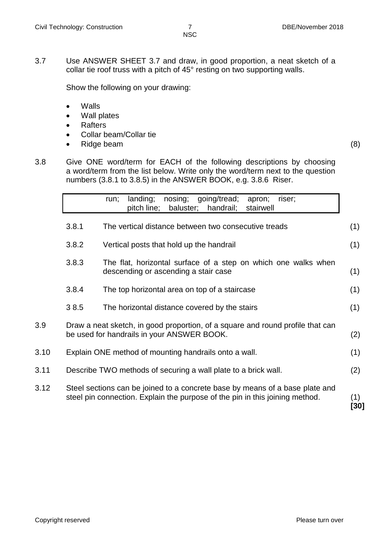3.7 Use ANSWER SHEET 3.7 and draw, in good proportion, a neat sketch of a collar tie roof truss with a pitch of 45° resting on two supporting walls.

Show the following on your drawing:

- Walls
- Wall plates
- Rafters
- Collar beam/Collar tie
- Ridge beam (8)

3.8 Give ONE word/term for EACH of the following descriptions by choosing a word/term from the list below. Write only the word/term next to the question numbers (3.8.1 to 3.8.5) in the ANSWER BOOK, e.g. 3.8.6 Riser.

|      | nosing;<br>going/tread;<br>landing;<br>riser;<br>apron;<br>run;<br>pitch line;<br>baluster;<br>handrail;<br>stairwell                                        |
|------|--------------------------------------------------------------------------------------------------------------------------------------------------------------|
|      | 3.8.1<br>The vertical distance between two consecutive treads                                                                                                |
|      | 3.8.2<br>Vertical posts that hold up the handrail                                                                                                            |
|      | 3.8.3<br>The flat, horizontal surface of a step on which one walks when<br>descending or ascending a stair case                                              |
|      | 3.8.4<br>The top horizontal area on top of a staircase                                                                                                       |
|      | 38.5<br>The horizontal distance covered by the stairs                                                                                                        |
| 3.9  | Draw a neat sketch, in good proportion, of a square and round profile that can<br>be used for handrails in your ANSWER BOOK.                                 |
| 3.10 | Explain ONE method of mounting handrails onto a wall.                                                                                                        |
| 3.11 | Describe TWO methods of securing a wall plate to a brick wall.                                                                                               |
| 3.12 | Steel sections can be joined to a concrete base by means of a base plate and<br>steel pin connection. Explain the purpose of the pin in this joining method. |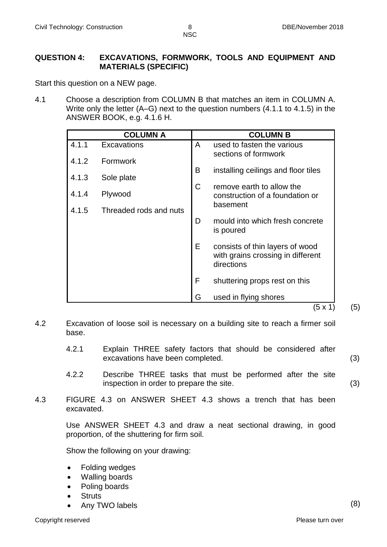#### **QUESTION 4: EXCAVATIONS, FORMWORK, TOOLS AND EQUIPMENT AND MATERIALS (SPECIFIC)**

Start this question on a NEW page.

4.1 Choose a description from COLUMN B that matches an item in COLUMN A. Write only the letter (A–G) next to the question numbers (4.1.1 to 4.1.5) in the ANSWER BOOK, e.g. 4.1.6 H.

|       | <b>COLUMN A</b>        |    | <b>COLUMN B</b>                                                                    |
|-------|------------------------|----|------------------------------------------------------------------------------------|
| 4.1.1 | Excavations            | A  | used to fasten the various                                                         |
| 4.1.2 | Formwork               |    | sections of formwork                                                               |
| 4.1.3 |                        | B  | installing ceilings and floor tiles                                                |
|       | Sole plate             | C  | remove earth to allow the                                                          |
| 4.1.4 | Plywood                |    | construction of a foundation or                                                    |
| 4.1.5 | Threaded rods and nuts |    | basement                                                                           |
|       |                        | D  | mould into which fresh concrete<br>is poured                                       |
|       |                        | E. | consists of thin layers of wood<br>with grains crossing in different<br>directions |
|       |                        | F  | shuttering props rest on this                                                      |
|       |                        | G  | used in flying shores                                                              |
|       |                        |    | 5 x 1                                                                              |

- 4.2 Excavation of loose soil is necessary on a building site to reach a firmer soil base.
	- 4.2.1 Explain THREE safety factors that should be considered after excavations have been completed. (3)
	- 4.2.2 Describe THREE tasks that must be performed after the site inspection in order to prepare the site. (3)
- 4.3 FIGURE 4.3 on ANSWER SHEET 4.3 shows a trench that has been excavated.

Use ANSWER SHEET 4.3 and draw a neat sectional drawing, in good proportion, of the shuttering for firm soil.

Show the following on your drawing:

- Folding wedges
- Walling boards
- Poling boards
- **Struts**
- Any TWO labels (8)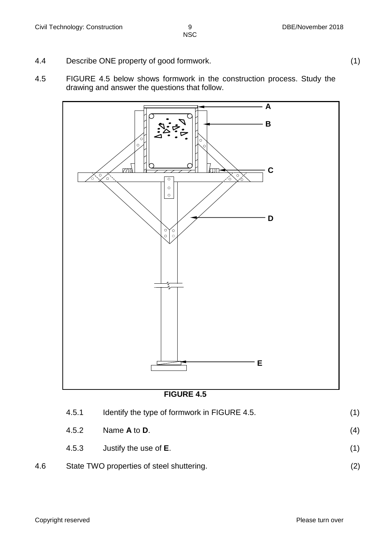- 4.4 Describe ONE property of good formwork. (1)
- 4.5 FIGURE 4.5 below shows formwork in the construction process. Study the drawing and answer the questions that follow.





|     | 4.5.1 | Identify the type of formwork in FIGURE 4.5. |     |
|-----|-------|----------------------------------------------|-----|
|     | 4.5.2 | Name A to D.                                 | (4) |
|     | 4.5.3 | Justify the use of <b>E</b> .                | (1) |
| 4.6 |       | State TWO properties of steel shuttering.    | (2) |

Copyright reserved **Please** turn over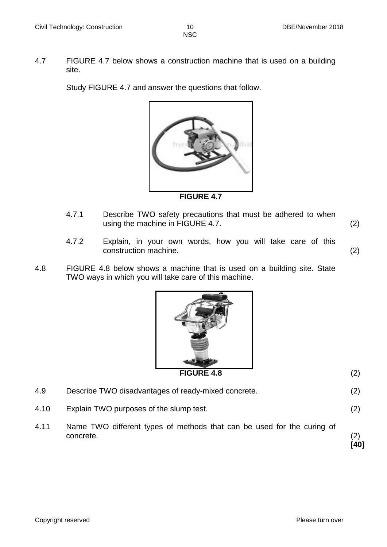4.7 FIGURE 4.7 below shows a construction machine that is used on a building site.

Study FIGURE 4.7 and answer the questions that follow.



- 4.7.1 Describe TWO safety precautions that must be adhered to when using the machine in FIGURE 4.7. (2)
- 4.7.2 Explain, in your own words, how you will take care of this construction machine. (2)
- 4.8 FIGURE 4.8 below shows a machine that is used on a building site. State TWO ways in which you will take care of this machine.



#### **FIGURE 4.8** (2)

- 4.9 Describe TWO disadvantages of ready-mixed concrete. (2)
- 4.10 Explain TWO purposes of the slump test. (2)
- 4.11 Name TWO different types of methods that can be used for the curing of concrete. (2) **[40]**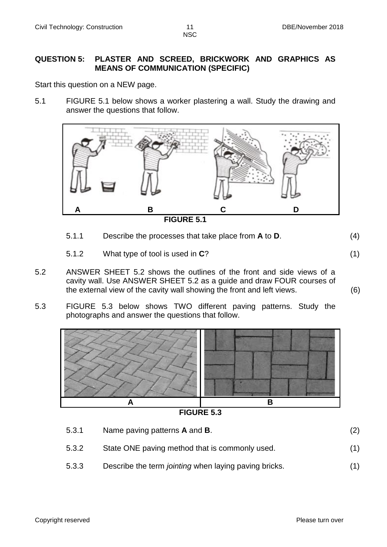### **QUESTION 5: PLASTER AND SCREED, BRICKWORK AND GRAPHICS AS MEANS OF COMMUNICATION (SPECIFIC)**

Start this question on a NEW page.

5.1 FIGURE 5.1 below shows a worker plastering a wall. Study the drawing and answer the questions that follow.



- 5.1.1 Describe the processes that take place from **A** to **D**. (4)
- 5.1.2 What type of tool is used in **C**? (1)
- 5.2 ANSWER SHEET 5.2 shows the outlines of the front and side views of a cavity wall. Use ANSWER SHEET 5.2 as a guide and draw FOUR courses of the external view of the cavity wall showing the front and left views. (6)
- 5.3 FIGURE 5.3 below shows TWO different paving patterns. Study the photographs and answer the questions that follow.



**FIGURE 5.3**

5.3.1 Name paving patterns **A** and **B**. (2) 5.3.2 State ONE paving method that is commonly used. (1) 5.3.3 Describe the term *jointing* when laying paving bricks. (1)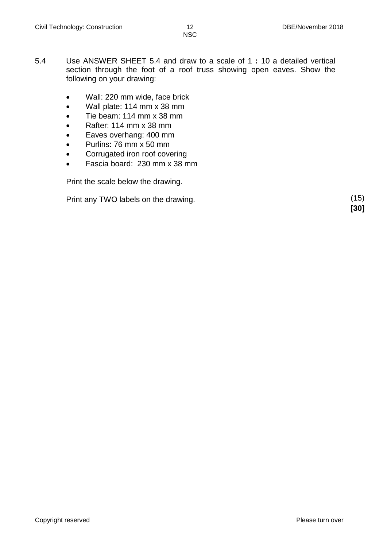- 5.4 Use ANSWER SHEET 5.4 and draw to a scale of 1 **:** 10 a detailed vertical section through the foot of a roof truss showing open eaves. Show the following on your drawing:
	- Wall: 220 mm wide, face brick
	- Wall plate: 114 mm x 38 mm
	- Tie beam: 114 mm x 38 mm
	- Rafter: 114 mm x 38 mm
	- Eaves overhang: 400 mm
	- Purlins: 76 mm x 50 mm
	- Corrugated iron roof covering
	- Fascia board: 230 mm x 38 mm

Print the scale below the drawing.

Print any TWO labels on the drawing. (15)

**[30]**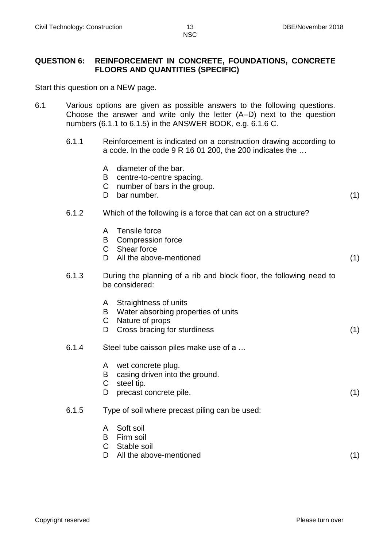#### **QUESTION 6: REINFORCEMENT IN CONCRETE, FOUNDATIONS, CONCRETE FLOORS AND QUANTITIES (SPECIFIC)**

Start this question on a NEW page.

- 6.1 Various options are given as possible answers to the following questions. Choose the answer and write only the letter (A–D) next to the question numbers (6.1.1 to 6.1.5) in the ANSWER BOOK, e.g. 6.1.6 C.
	- 6.1.1 Reinforcement is indicated on a construction drawing according to a code. In the code 9 R 16 01 200, the 200 indicates the …
		- A diameter of the bar.
		- B centre-to-centre spacing.
		- $\mathsf{C}$ number of bars in the group.
		- D bar number. (1)

### 6.1.2 Which of the following is a force that can act on a structure?

- A Tensile force
- B Compression force
- C Shear force
- D All the above-mentioned (1)
- 6.1.3 During the planning of a rib and block floor, the following need to be considered:
	- A Straightness of units
	- B Water absorbing properties of units
	- C Nature of props
	- D Cross bracing for sturdiness (1)
- 6.1.4 Steel tube caisson piles make use of a …
	- A wet concrete plug.
	- B casing driven into the ground.
	- C steel tip.
	- D precast concrete pile. (1)
- 6.1.5 Type of soil where precast piling can be used:
	- A Soft soil
	- B Firm soil
	- C Stable soil
	- D All the above-mentioned (1)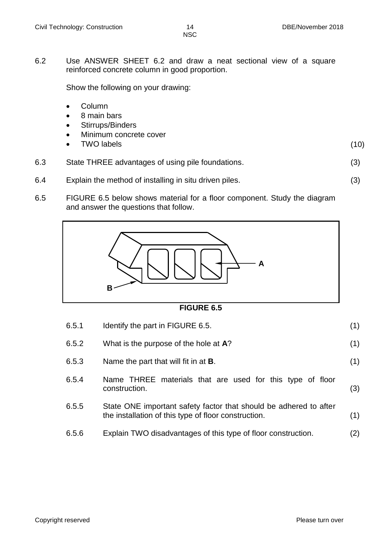(10)

6.2 Use ANSWER SHEET 6.2 and draw a neat sectional view of a square reinforced concrete column in good proportion.

Show the following on your drawing:

- Column
- 8 main bars
- Stirrups/Binders
- Minimum concrete cover
- TWO labels
- 6.3 State THREE advantages of using pile foundations. (3)
- 6.4 Explain the method of installing in situ driven piles. (3)
- 6.5 FIGURE 6.5 below shows material for a floor component. Study the diagram and answer the questions that follow.



### **FIGURE 6.5**

| 6.5.1 | Identify the part in FIGURE 6.5.                                                                                          | (1) |
|-------|---------------------------------------------------------------------------------------------------------------------------|-----|
| 6.5.2 | What is the purpose of the hole at A?                                                                                     | (1) |
| 6.5.3 | Name the part that will fit in at <b>B</b> .                                                                              | (1) |
| 6.5.4 | Name THREE materials that are used for this type of floor<br>construction.                                                | (3) |
| 6.5.5 | State ONE important safety factor that should be adhered to after<br>the installation of this type of floor construction. | (1) |
| 6.5.6 | Explain TWO disadvantages of this type of floor construction.                                                             | (2) |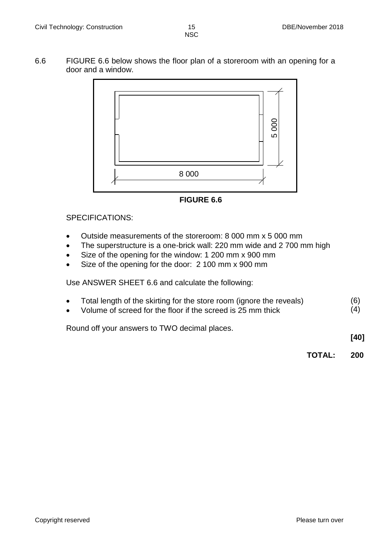6.6 FIGURE 6.6 below shows the floor plan of a storeroom with an opening for a door and a window.



**FIGURE 6.6**

# SPECIFICATIONS:

- Outside measurements of the storeroom: 8 000 mm x 5 000 mm
- The superstructure is a one-brick wall: 220 mm wide and 2 700 mm high
- Size of the opening for the window: 1 200 mm x 900 mm
- Size of the opening for the door: 2 100 mm x 900 mm

Use ANSWER SHEET 6.6 and calculate the following:

- Total length of the skirting for the store room (ignore the reveals) (6)
- Volume of screed for the floor if the screed is 25 mm thick (4)

Round off your answers to TWO decimal places.

**[40]**

**TOTAL: 200**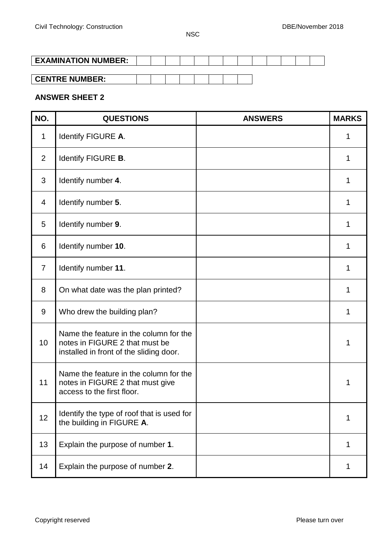| <b>EXAMINATION NUMBER:</b> |  |  |  |  |  |  |  |
|----------------------------|--|--|--|--|--|--|--|
|                            |  |  |  |  |  |  |  |

| __ |  |  |  |  |
|----|--|--|--|--|

# **ANSWER SHEET 2**

| NO.            | <b>QUESTIONS</b>                                                                                                    | <b>ANSWERS</b> | <b>MARKS</b> |
|----------------|---------------------------------------------------------------------------------------------------------------------|----------------|--------------|
| $\mathbf 1$    | Identify FIGURE A.                                                                                                  |                | 1            |
| 2              | Identify FIGURE B.                                                                                                  |                | 1            |
| 3              | Identify number 4.                                                                                                  |                | 1            |
| 4              | Identify number 5.                                                                                                  |                | 1            |
| 5              | Identify number 9.                                                                                                  |                | 1            |
| 6              | Identify number 10.                                                                                                 |                | 1            |
| $\overline{7}$ | Identify number 11.                                                                                                 |                | 1            |
| 8              | On what date was the plan printed?                                                                                  |                | 1            |
| 9              | Who drew the building plan?                                                                                         |                | 1            |
| 10             | Name the feature in the column for the<br>notes in FIGURE 2 that must be<br>installed in front of the sliding door. |                | 1            |
| 11             | Name the feature in the column for the<br>notes in FIGURE 2 that must give<br>access to the first floor.            |                | 1            |
| 12             | Identify the type of roof that is used for<br>the building in FIGURE A.                                             |                | 1            |
| 13             | Explain the purpose of number 1.                                                                                    |                | 1            |
| 14             | Explain the purpose of number 2.                                                                                    |                | 1            |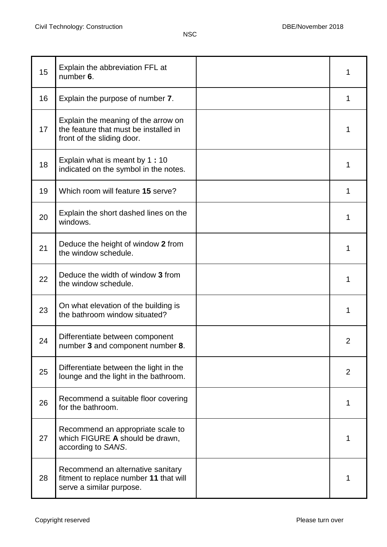| 15 | Explain the abbreviation FFL at<br>number 6.                                                               | 1 |
|----|------------------------------------------------------------------------------------------------------------|---|
| 16 | Explain the purpose of number 7.                                                                           | 1 |
| 17 | Explain the meaning of the arrow on<br>the feature that must be installed in<br>front of the sliding door. | 1 |
| 18 | Explain what is meant by 1:10<br>indicated on the symbol in the notes.                                     | 1 |
| 19 | Which room will feature 15 serve?                                                                          | 1 |
| 20 | Explain the short dashed lines on the<br>windows.                                                          | 1 |
| 21 | Deduce the height of window 2 from<br>the window schedule.                                                 | 1 |
| 22 | Deduce the width of window 3 from<br>the window schedule.                                                  | 1 |
| 23 | On what elevation of the building is<br>the bathroom window situated?                                      | 1 |
| 24 | Differentiate between component<br>number 3 and component number 8.                                        | 2 |
| 25 | Differentiate between the light in the<br>lounge and the light in the bathroom.                            | 2 |
| 26 | Recommend a suitable floor covering<br>for the bathroom.                                                   | 1 |
| 27 | Recommend an appropriate scale to<br>which FIGURE A should be drawn,<br>according to SANS.                 | 1 |
| 28 | Recommend an alternative sanitary<br>fitment to replace number 11 that will<br>serve a similar purpose.    | 1 |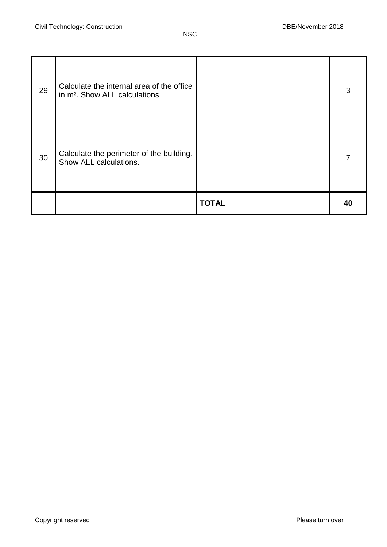| 29 | Calculate the internal area of the office<br>in m <sup>2</sup> . Show ALL calculations. |              | 3  |
|----|-----------------------------------------------------------------------------------------|--------------|----|
| 30 | Calculate the perimeter of the building.<br>Show ALL calculations.                      |              | 7  |
|    |                                                                                         | <b>TOTAL</b> | 40 |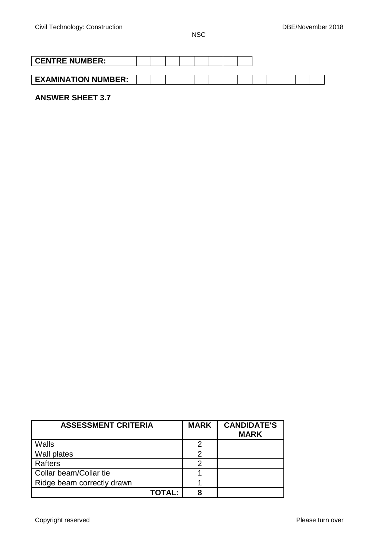| <b>CENTRE NUMBER:</b>      |  |  |  |  |  |  |  |  |  |
|----------------------------|--|--|--|--|--|--|--|--|--|
|                            |  |  |  |  |  |  |  |  |  |
| <b>EXAMINATION NUMBER:</b> |  |  |  |  |  |  |  |  |  |

# **ANSWER SHEET 3.7**

| <b>ASSESSMENT CRITERIA</b> | <b>MARK</b> | <b>CANDIDATE'S</b><br><b>MARK</b> |
|----------------------------|-------------|-----------------------------------|
| Walls                      | 2           |                                   |
| <b>Wall plates</b>         | 2           |                                   |
| Rafters                    | 2           |                                   |
| Collar beam/Collar tie     |             |                                   |
| Ridge beam correctly drawn |             |                                   |
| <b>TOTAL:</b>              | 8           |                                   |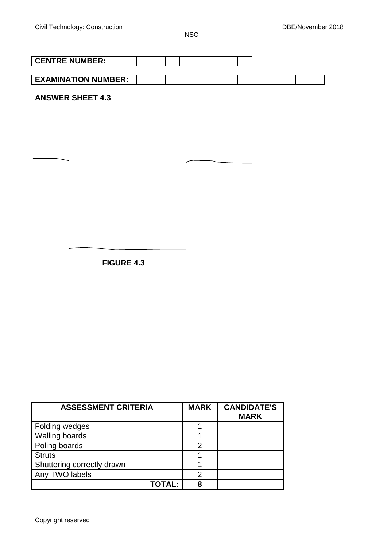| <b>CENTRE NUMBER:</b>      |  |  |  |  |  |  |  |
|----------------------------|--|--|--|--|--|--|--|
|                            |  |  |  |  |  |  |  |
| <b>EXAMINATION NUMBER:</b> |  |  |  |  |  |  |  |

**ANSWER SHEET 4.3**

**FIGURE 4.3**

| <b>ASSESSMENT CRITERIA</b> | <b>MARK</b> | <b>CANDIDATE'S</b><br><b>MARK</b> |
|----------------------------|-------------|-----------------------------------|
| Folding wedges             |             |                                   |
| Walling boards             |             |                                   |
| Poling boards              | 2           |                                   |
| <b>Struts</b>              |             |                                   |
| Shuttering correctly drawn |             |                                   |
| Any TWO labels             | 2           |                                   |
| TOTAL:                     | 8           |                                   |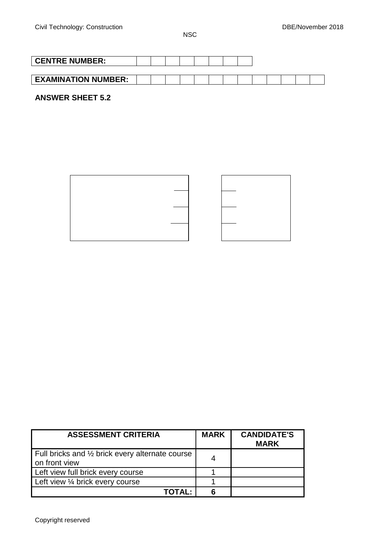| <b>CENTRE NUMBER:</b>      |  |  |  |  |  |  |  |
|----------------------------|--|--|--|--|--|--|--|
|                            |  |  |  |  |  |  |  |
| <b>EXAMINATION NUMBER:</b> |  |  |  |  |  |  |  |

**ANSWER SHEET 5.2**



| <b>ASSESSMENT CRITERIA</b>                                                  | <b>MARK</b> | <b>CANDIDATE'S</b><br><b>MARK</b> |
|-----------------------------------------------------------------------------|-------------|-----------------------------------|
| Full bricks and $\frac{1}{2}$ brick every alternate course<br>on front view |             |                                   |
| Left view full brick every course                                           |             |                                   |
| Left view 1/4 brick every course                                            |             |                                   |
| TOTAL:                                                                      |             |                                   |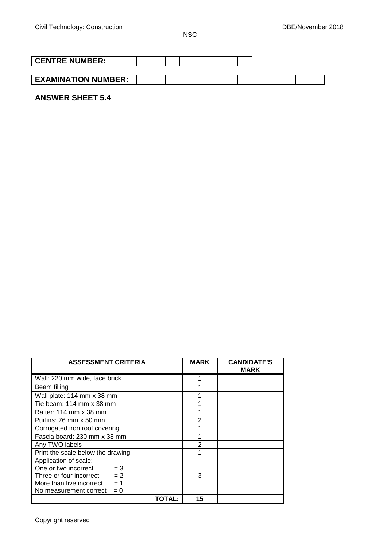| <b>CENTRE NUMBER:</b>      |  |  |  |  |  |  |  |
|----------------------------|--|--|--|--|--|--|--|
|                            |  |  |  |  |  |  |  |
| <b>EXAMINATION NUMBER:</b> |  |  |  |  |  |  |  |

# **ANSWER SHEET 5.4**

| <b>ASSESSMENT CRITERIA</b>                      |        | <b>MARK</b>   | <b>CANDIDATE'S</b><br><b>MARK</b> |
|-------------------------------------------------|--------|---------------|-----------------------------------|
| Wall: 220 mm wide, face brick                   |        | 1             |                                   |
| Beam filling                                    |        |               |                                   |
| Wall plate: 114 mm x 38 mm                      |        |               |                                   |
| Tie beam: $114 \text{ mm} \times 38 \text{ mm}$ |        |               |                                   |
| Rafter: 114 mm x 38 mm                          |        |               |                                   |
| Purlins: 76 mm x 50 mm                          |        | 2             |                                   |
| Corrugated iron roof covering                   |        |               |                                   |
| Fascia board: 230 mm x 38 mm                    |        |               |                                   |
| Any TWO labels                                  |        | $\mathcal{P}$ |                                   |
| Print the scale below the drawing               |        |               |                                   |
| Application of scale:                           |        |               |                                   |
| One or two incorrect<br>$=$ 3                   |        |               |                                   |
| $= 2$<br>Three or four incorrect                |        | 3             |                                   |
| $= 1$<br>More than five incorrect               |        |               |                                   |
| $= 0$<br>No measurement correct                 |        |               |                                   |
|                                                 | TOTAL: | 15            |                                   |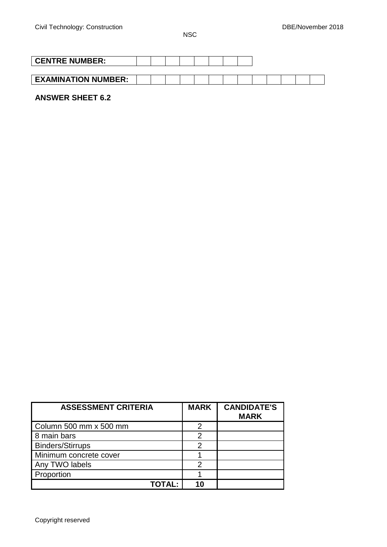| <b>CENTRE NUMBER:</b>      |  |  |  |  |  |  |  |
|----------------------------|--|--|--|--|--|--|--|
|                            |  |  |  |  |  |  |  |
| <b>EXAMINATION NUMBER:</b> |  |  |  |  |  |  |  |

# **ANSWER SHEET 6.2**

| <b>ASSESSMENT CRITERIA</b> |               | <b>MARK</b> | <b>CANDIDATE'S</b><br><b>MARK</b> |
|----------------------------|---------------|-------------|-----------------------------------|
| Column 500 mm x 500 mm     |               | 2           |                                   |
| 8 main bars                |               | 2           |                                   |
| <b>Binders/Stirrups</b>    |               | 2           |                                   |
| Minimum concrete cover     |               |             |                                   |
| Any TWO labels             |               | 2           |                                   |
| Proportion                 |               |             |                                   |
|                            | <b>TOTAL:</b> |             |                                   |